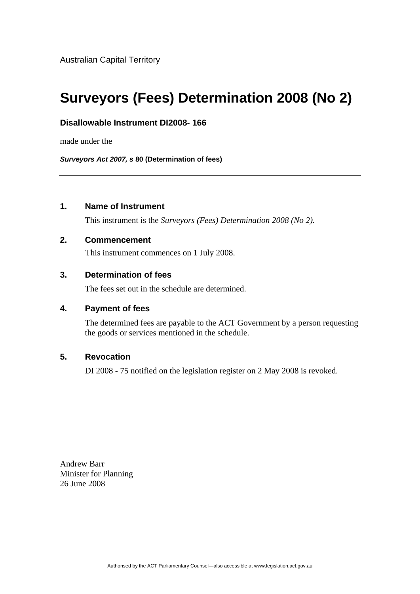Australian Capital Territory

# **Surveyors (Fees) Determination 2008 (No 2)**

### **Disallowable Instrument DI2008- 166**

made under the

*Surveyors Act 2007, s* **80 (Determination of fees)**

## **1. Name of Instrument**

This instrument is the *Surveyors (Fees) Determination 2008 (No 2).* 

### **2. Commencement**

This instrument commences on 1 July 2008.

## **3. Determination of fees**

The fees set out in the schedule are determined.

#### **4. Payment of fees**

The determined fees are payable to the ACT Government by a person requesting the goods or services mentioned in the schedule.

### **5. Revocation**

DI 2008 - 75 notified on the legislation register on 2 May 2008 is revoked.

Andrew Barr Minister for Planning 26 June 2008